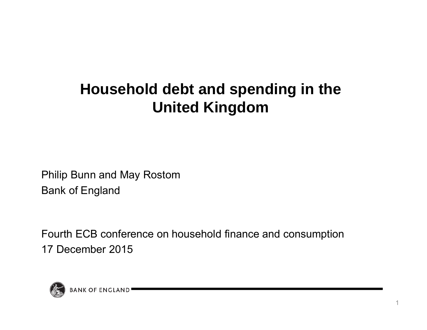# **Household debt and spending in the United Kingdom**

Philip Bunn and May Rostom Bank of England

Fourth ECB conference on household finance and consumption 17 December 2015

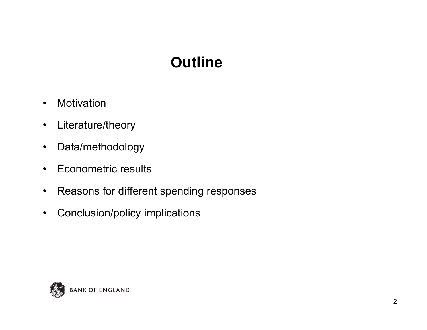# **Outline**

- •Motivation
- •Literature/theory
- $\bullet$ Data/methodology
- •Econometric results
- $\bullet$ Reasons for different spending responses
- $\bullet$ Conclusion/policy implications

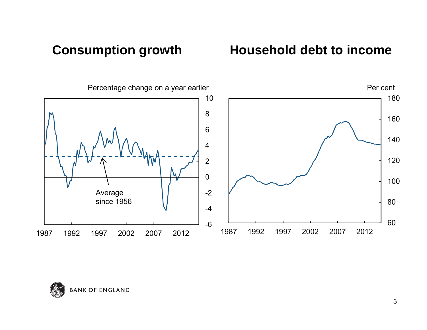#### **Consumption growth**

#### **Household debt to income**



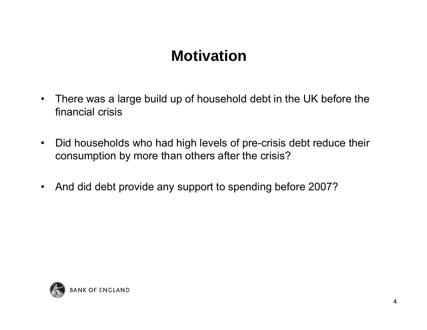#### **Motivation**

- $\bullet$  There was a large build up of household debt in the UK before the financial crisis
- $\bullet$  Did households who had high levels of pre-crisis debt reduce their consumption by more than others after the crisis?
- $\bullet$ And did debt provide any support to spending before 2007?

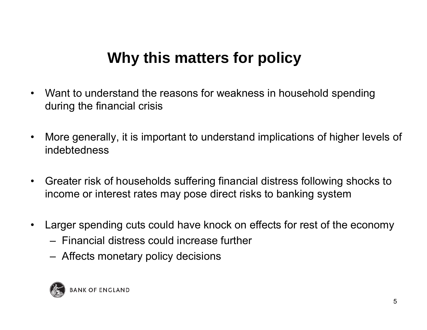## **Why this matters for policy**

- $\bullet$  Want to understand the reasons for weakness in household spending during the financial crisis
- $\bullet$  More generally, it is important to understand implications of higher levels of indebtedness
- $\bullet$  Greater risk of households suffering financial distress following shocks to income or interest rates may pose direct risks to banking system
- $\bullet$  Larger spending cuts could have knock on effects for rest of the economy
	- Financial distress could increase further
	- –Affects monetary policy decisions

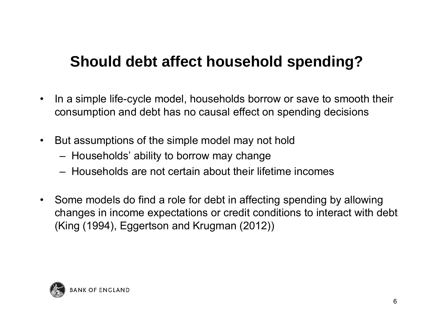## **Should debt affect household spending?**

- • In a simple life-cycle model, households borrow or save to smooth their consumption and debt has no causal effect on spending decisions
- $\bullet$  But assumptions of the simple model may not hold
	- Households' ability to borrow may change
	- Households are not certain about their lifetime incomes
- Some models do find a role for debt in affecting spending by allowing changes in income expectations or credit conditions to interact with debt (King (1994), Eggertson and Krugman (2012))

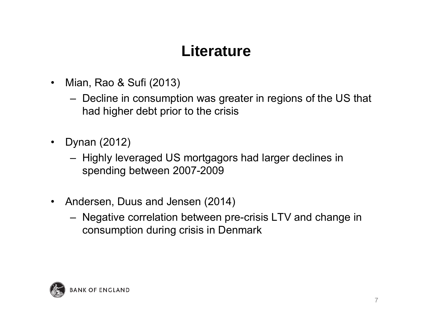## **Literature**

- $\bullet$  Mian, Rao & Sufi (2013)
	- Decline in consumption was greater in regions of the US that had higher debt prior to the crisis
- • Dynan (2012)
	- Highly leveraged US mortgagors had larger declines in spending between 2007-2009
- • Andersen, Duus and Jensen (2014)
	- Negative correlation between pre-crisis LTV and change in consumption during crisis in Denmark

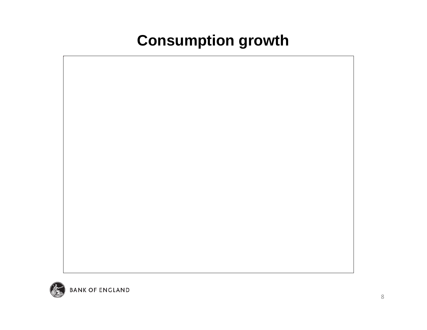# **Consumption growth**



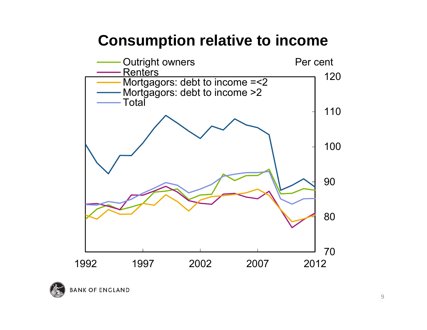#### **Consumption relative to income**



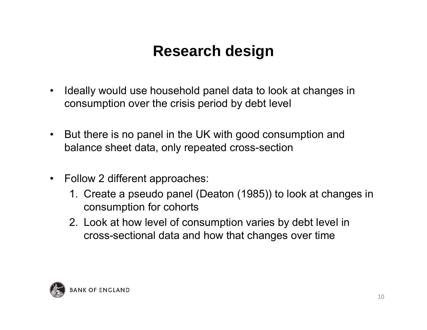# **Research design**

- $\bullet$  Ideally would use household panel data to look at changes in consumption over the crisis period by debt level
- • But there is no panel in the UK with good consumption and balance sheet data, only repeated cross-section
- $\bullet$  Follow 2 different approaches:
	- 1. Create a pseudo panel (Deaton (1985)) to look at changes in consumption for cohorts
	- 2. Look at how level of consumption varies by debt level in cross-sectional data and how that changes over time

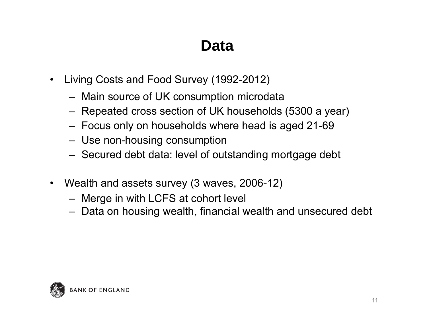#### **Data**

- $\bullet$  Living Costs and Food Survey (1992-2012)
	- Main source of UK consumption microdata
	- Repeated cross section of UK households (5300 a year)
	- Focus only on households where head is aged 21-69
	- Use non-housing consumption
	- Secured debt data: level of outstanding mortgage debt
- Wealth and assets survey (3 waves, 2006-12)
	- Merge in with LCFS at cohort level
	- Data on housing wealth, financial wealth and unsecured debt

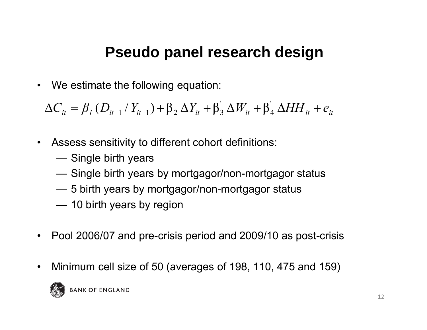#### **Pseudo panel research design**

 $\bullet$ We estimate the following equation:

 $\Delta C_{it} = \beta_I \left( D_{it-1} / Y_{it-1} \right) + \beta_2 \Delta Y_{it} + \beta_3 \Delta W_{it} + \beta_4 \Delta H H_{it} + e_{it}$ ' 4 $(D_{it-1} / Y_{it-1}) + \beta_2 \Delta Y_{it} + \beta_3 \Delta W_{it} + \beta_4$ 

- $\bullet$  Assess sensitivity to different cohort definitions:
	- Single birth years
	- Single birth years by mortgagor/non-mortgagor status
	- 5 birth years by mortgagor/non-mortgagor status
	- 10 birth years by region
- $\bullet$ Pool 2006/07 and pre-crisis period and 2009/10 as post-crisis
- $\bullet$ Minimum cell size of 50 (averages of 198, 110, 475 and 159)

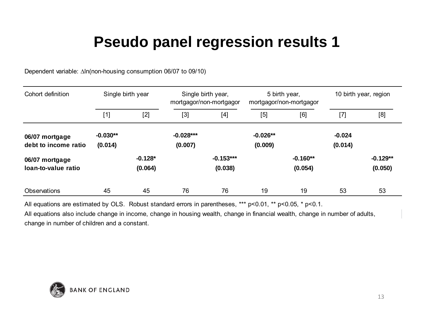Dependent variable: ∆In(non-housing consumption 06/07 to 09/10)

| Cohort definition                      | Single birth year     |                      | Single birth year,<br>mortgagor/non-mortgagor |                        | 5 birth year,<br>mortgagor/non-mortgagor |                       | 10 birth year, region |                       |
|----------------------------------------|-----------------------|----------------------|-----------------------------------------------|------------------------|------------------------------------------|-----------------------|-----------------------|-----------------------|
|                                        | $[1]$                 | $[2]$                | $[3]$                                         | [4]                    | [5]                                      | [6]                   | $[7]$                 | [8]                   |
| 06/07 mortgage<br>debt to income ratio | $-0.030**$<br>(0.014) |                      | $-0.028***$<br>(0.007)                        |                        | $-0.026**$<br>(0.009)                    |                       | $-0.024$<br>(0.014)   |                       |
| 06/07 mortgage<br>loan-to-value ratio  |                       | $-0.128*$<br>(0.064) |                                               | $-0.153***$<br>(0.038) |                                          | $-0.160**$<br>(0.054) |                       | $-0.129**$<br>(0.050) |
| <b>Observations</b>                    | 45                    | 45                   | 76                                            | 76                     | 19                                       | 19                    | 53                    | 53                    |

All equations are estimated by OLS. Robust standard errors in parentheses, \*\*\* p<0.01, \*\* p<0.05, \* p<0.1.

All equations also include change in income, change in housing wealth, change in financial wealth, change in number of adults, change in number of children and a constant.

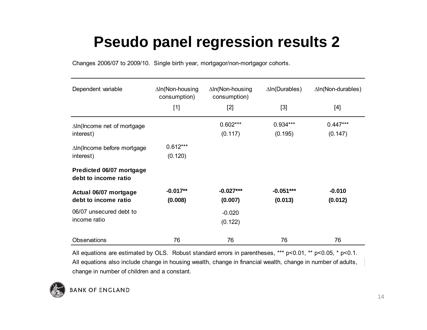Changes 2006/07 to 2009/10. Single birth year, mortgagor/non-mortgagor cohorts.

| Dependent variable                               | $\Delta$ In(Non-housing<br>consumption)<br>$[1]$ | $\Delta$ In(Non-housing<br>consumption)<br>$[2]$ | $\Delta$ In(Durables)<br>$[3]$ | $\Delta$ In(Non-durables)<br>[4] |
|--------------------------------------------------|--------------------------------------------------|--------------------------------------------------|--------------------------------|----------------------------------|
| $\Delta$ In(Income net of mortgage<br>interest)  |                                                  | $0.602***$<br>(0.117)                            | $0.934***$<br>(0.195)          | $0.447***$<br>(0.147)            |
| $\Delta$ In(Income before mortgage<br>interest)  | $0.612***$<br>(0.120)                            |                                                  |                                |                                  |
| Predicted 06/07 mortgage<br>debt to income ratio |                                                  |                                                  |                                |                                  |
| Actual 06/07 mortgage<br>debt to income ratio    | $-0.017**$<br>(0.008)                            | $-0.027***$<br>(0.007)                           | $-0.051***$<br>(0.013)         | $-0.010$<br>(0.012)              |
| 06/07 unsecured debt to<br>income ratio          |                                                  | $-0.020$<br>(0.122)                              |                                |                                  |
| Observations                                     | 76                                               | 76                                               | 76                             | 76                               |

All equations also include change in housing wealth, change in financial wealth, change in number of adults, All equations are estimated by OLS. Robust standard errors in parentheses, \*\*\* p<0.01, \*\* p<0.05, \* p<0.1. change in number of children and a constant.

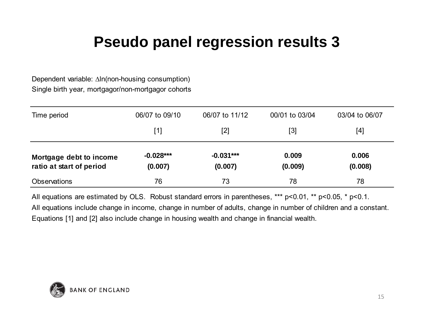Dependent variable: ∆ln(non-housing consumption) Single birth year, mortgagor/non-mortgagor cohorts

| Time period                                         | 06/07 to 09/10         | 06/07 to 11/12         | 00/01 to 03/04   | 03/04 to 06/07   |
|-----------------------------------------------------|------------------------|------------------------|------------------|------------------|
|                                                     | [1]                    | $[2]$                  | $[3]$            | [4]              |
| Mortgage debt to income<br>ratio at start of period | $-0.028***$<br>(0.007) | $-0.031***$<br>(0.007) | 0.009<br>(0.009) | 0.006<br>(0.008) |
| <b>Observations</b>                                 | 76                     | 73                     | 78               | 78               |

All equations include change in income, change in number of adults, change in number of children and a constant. All equations are estimated by OLS. Robust standard errors in parentheses, \*\*\* p<0.01, \*\* p<0.05, \* p<0.1. Equations [1] and [2] also include change in housing wealth and change in financial wealth.

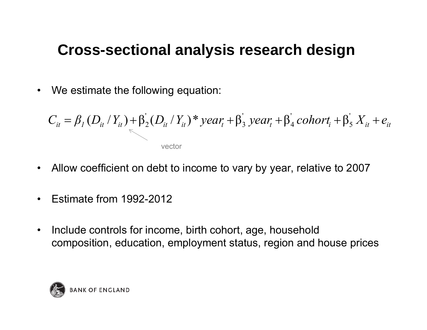#### **Cross-sectional analysis research design**

 $\bullet$ We estimate the following equation:

$$
C_{it} = \beta_1 (D_{it} / Y_{it}) + \beta_2 (D_{it} / Y_{it})^* year_t + \beta_3^* year_t + \beta_4^* cohort_t + \beta_5' X_{it} + e_{it}
$$
  
vector

- •Allow coefficient on debt to income to vary by year, relative to 2007
- $\bullet$ Estimate from 1992-2012
- $\bullet$  Include controls for income, birth cohort, age, household composition, education, employment status, region and house prices

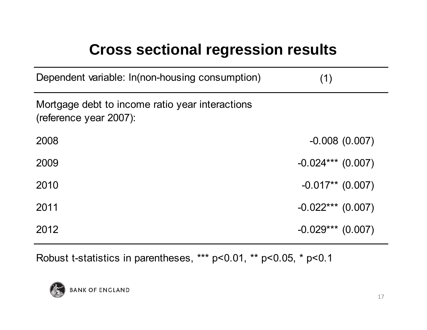## **Cross sectional regression results**

| Dependent variable: In(non-housing consumption)                           | (1)                 |
|---------------------------------------------------------------------------|---------------------|
| Mortgage debt to income ratio year interactions<br>(reference year 2007): |                     |
| 2008                                                                      | $-0.008(0.007)$     |
| 2009                                                                      | $-0.024***$ (0.007) |
| 2010                                                                      | $-0.017**$ (0.007)  |
| 2011                                                                      | $-0.022***$ (0.007) |
| 2012                                                                      | $-0.029***$ (0.007) |

Robust t-statistics in parentheses, \*\*\* p<0.01, \*\* p<0.05, \* p<0.1

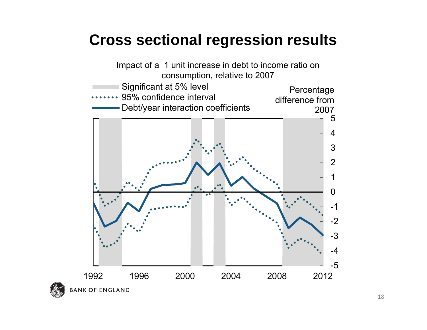#### **Cross sectional regression results**

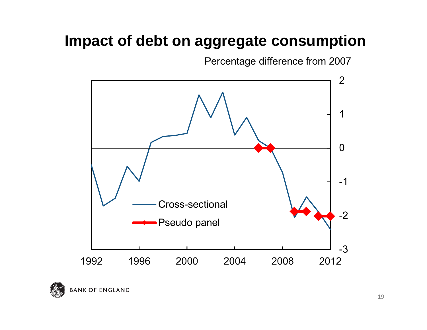### **Impact of debt on aggregate consumption**

Percentage difference from 2007



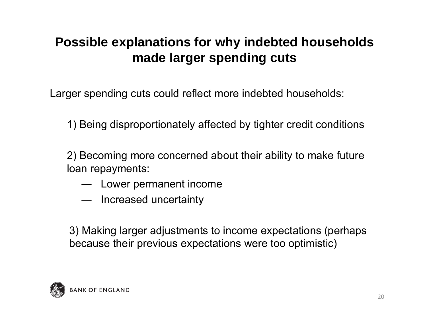#### **Possible explanations for why indebted households made larger spending cuts**

Larger spending cuts could reflect more indebted households:

1) Being disproportionately affected by tighter credit conditions

2) Becoming more concerned about their ability to make future loan repayments:

- ― Lower permanent income
- ― Increased uncertainty

3) Making larger adjustments to income expectations (perhaps because their previous expectations were too optimistic)

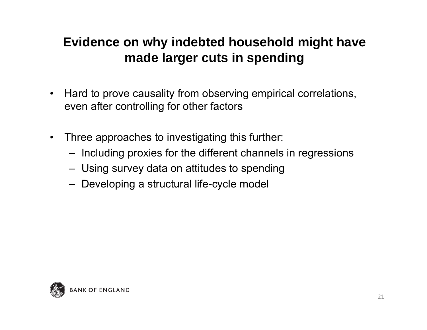#### **Evidence on why indebted household might have made larger cuts in spending**

- $\bullet$  Hard to prove causality from observing empirical correlations, even after controlling for other factors
- Three approaches to investigating this further:
	- Including proxies for the different channels in regressions
	- Using survey data on attitudes to spending
	- Developing a structural life-cycle model

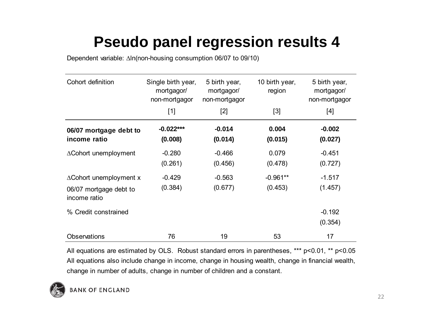Dependent variable: ∆In(non-housing consumption 06/07 to 09/10)

| Cohort definition                                                           | Single birth year,<br>mortgagor/<br>non-mortgagor | 5 birth year,<br>mortgagor/<br>non-mortgagor | 10 birth year,<br>region | 5 birth year,<br>mortgagor/<br>non-mortgagor |
|-----------------------------------------------------------------------------|---------------------------------------------------|----------------------------------------------|--------------------------|----------------------------------------------|
|                                                                             | $[1]$                                             | $[2]$                                        | $[3]$                    | [4]                                          |
| 06/07 mortgage debt to<br>income ratio                                      | $-0.022***$<br>(0.008)                            | $-0.014$<br>(0.014)                          | 0.004<br>(0.015)         | $-0.002$<br>(0.027)                          |
| $\triangle$ Cohort unemployment                                             | $-0.280$<br>(0.261)                               | $-0.466$<br>(0.456)                          | 0.079<br>(0.478)         | $-0.451$<br>(0.727)                          |
| $\triangle$ Cohort unemployment x<br>06/07 mortgage debt to<br>income ratio | $-0.429$<br>(0.384)                               | $-0.563$<br>(0.677)                          | $-0.961**$<br>(0.453)    | $-1.517$<br>(1.457)                          |
| % Credit constrained                                                        |                                                   |                                              |                          | $-0.192$<br>(0.354)                          |
| <b>Observations</b>                                                         | 76                                                | 19                                           | 53                       | 17                                           |

All equations also include change in income, change in housing wealth, change in financial wealth, change in number of adults, change in number of children and a constant. All equations are estimated by OLS. Robust standard errors in parentheses, \*\*\* p<0.01, \*\* p<0.05

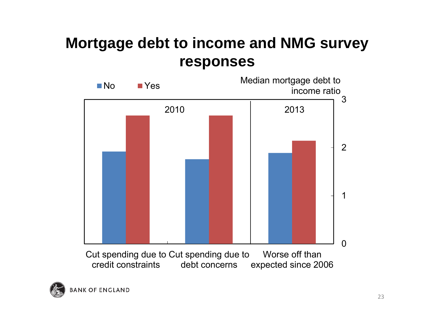#### **Mortgage debt to income and NMG survey responses**



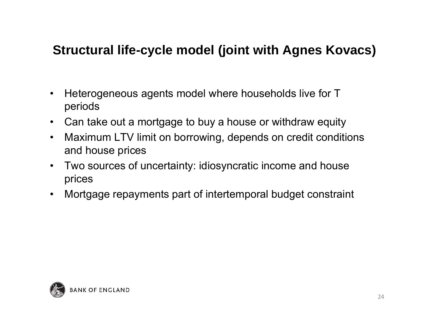#### **Structural life-cycle model (joint with Agnes Kovacs)**

- $\bullet$  Heterogeneous agents model where households live for T periods
- Can take out a mortgage to buy a house or withdraw equity
- $\bullet$  Maximum LTV limit on borrowing, depends on credit conditions and house prices
- $\bullet$  Two sources of uncertainty: idiosyncratic income and house prices
- $\bullet$ Mortgage repayments part of intertemporal budget constraint

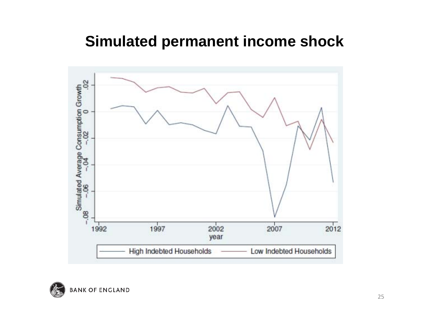#### **Simulated permanent income shock**



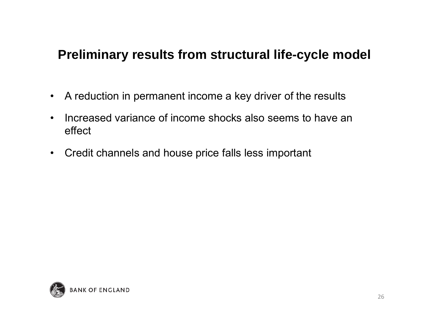#### **Preliminary results from structural life-cycle model**

- A reduction in permanent income a key driver of the results
- $\bullet$  Increased variance of income shocks also seems to have an effect
- Credit channels and house price falls less important

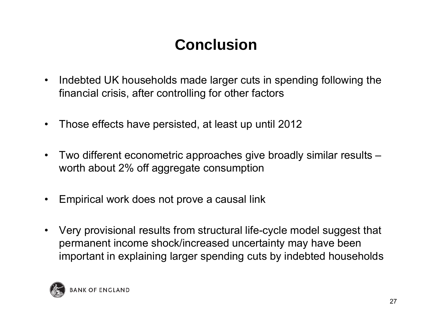# **Conclusion**

- • Indebted UK households made larger cuts in spending following the financial crisis, after controlling for other factors
- $\bullet$ Those effects have persisted, at least up until 2012
- • Two different econometric approaches give broadly similar results – worth about 2% off aggregate consumption
- •Empirical work does not prove a causal link
- • Very provisional results from structural life-cycle model suggest that permanent income shock/increased uncertainty may have been important in explaining larger spending cuts by indebted households

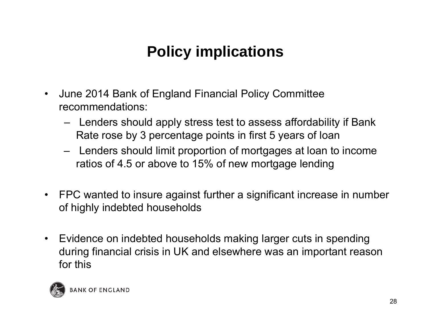# **Policy implications**

- $\bullet$  June 2014 Bank of England Financial Policy Committee recommendations:
	- **Property**  Lenders should apply stress test to assess affordability if Bank Rate rose by 3 percentage points in first 5 years of loan
	- **Property**  Lenders should limit proportion of mortgages at loan to income ratios of 4.5 or above to 15% of new mortgage lending
- FPC wanted to insure against further a significant increase in number of highly indebted households
- $\bullet$  Evidence on indebted households making larger cuts in spending during financial crisis in UK and elsewhere was an important reason for this

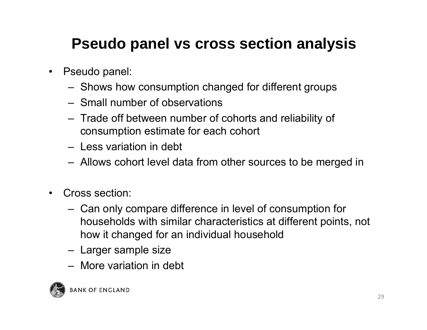# **Pseudo panel vs cross section analysis**

- $\bullet$  Pseudo panel:
	- Shows how consumption changed for different groups
	- Small number of observations
	- Trade off between number of cohorts and reliability of consumption estimate for each cohort
	- Less variation in debt
	- Allows cohort level data from other sources to be merged in
- $\bullet$  Cross section:
	- Can only compare difference in level of consumption for households with similar characteristics at different points, not how it changed for an individual household
	- Larger sample size
	- More variation in debt

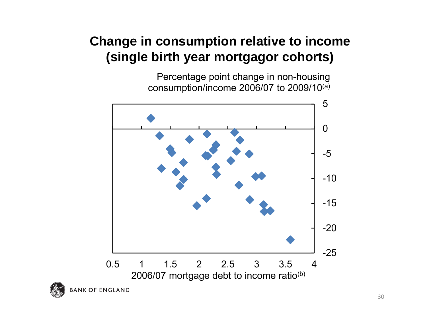#### **Change in consumption relative to income (single birth year mortgagor cohorts)**

Percentage point change in non-housing consumption/income 2006/07 to 2009/10(a)



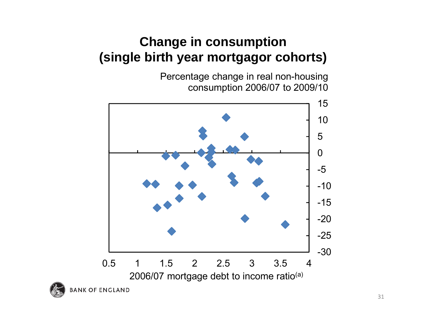#### **Change in consumption (single birth year mortgagor cohorts)**

Percentage change in real non-housing consumption 2006/07 to 2009/10



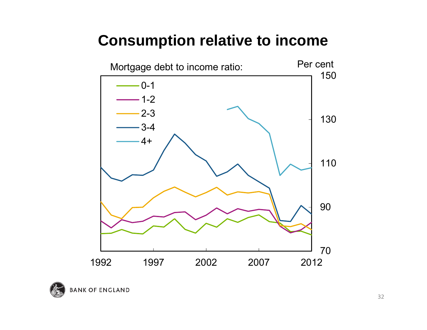#### **Consumption relative to income**



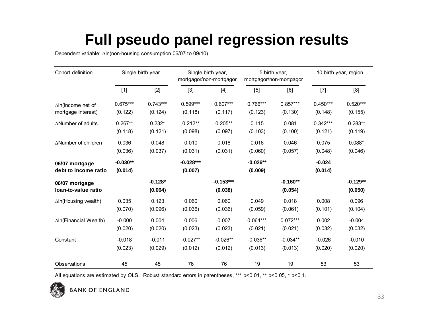# **Full pseudo panel regression results**

Dependent variable: ∆ln(non-housing consumption 06/07 to 09/10)

| Cohort definition                      | Single birth year     |                      | Single birth year,<br>mortgagor/non-mortgagor |                        | 5 birth year,<br>mortgagor/non-mortgagor |                       | 10 birth year, region |                       |
|----------------------------------------|-----------------------|----------------------|-----------------------------------------------|------------------------|------------------------------------------|-----------------------|-----------------------|-----------------------|
|                                        | $[1]$                 | $[2]$                | $[3]$                                         | $[4]$                  | [5]                                      | [6]                   | $[7]$                 | [8]                   |
| ∆In(Income net of                      | $0.675***$            | $0.743***$           | $0.599***$                                    | $0.607***$             | $0.766***$                               | $0.857***$            | $0.450***$            | $0.520***$            |
| mortgage interest)                     | (0.122)               | (0.124)              | (0.118)                                       | (0.117)                | (0.123)                                  | (0.130)               | (0.148)               | (0.155)               |
| $\triangle$ Number of adults           | $0.267**$             | $0.232*$             | $0.212**$                                     | $0.205**$              | 0.115                                    | 0.081                 | $0.342***$            | $0.283**$             |
|                                        | (0.118)               | (0.121)              | (0.098)                                       | (0.097)                | (0.103)                                  | (0.100)               | (0.121)               | (0.119)               |
| ∆Number of children                    | 0.036                 | 0.048                | 0.010                                         | 0.018                  | 0.016                                    | 0.046                 | 0.075                 | $0.088*$              |
|                                        | (0.036)               | (0.037)              | (0.031)                                       | (0.031)                | (0.060)                                  | (0.057)               | (0.048)               | (0.046)               |
| 06/07 mortgage<br>debt to income ratio | $-0.030**$<br>(0.014) |                      | $-0.028***$<br>(0.007)                        |                        | $-0.026**$<br>(0.009)                    |                       | $-0.024$<br>(0.014)   |                       |
| 06/07 mortgage<br>loan-to-value ratio  |                       | $-0.128*$<br>(0.064) |                                               | $-0.153***$<br>(0.038) |                                          | $-0.160**$<br>(0.054) |                       | $-0.129**$<br>(0.050) |
| $\Delta$ In(Housing wealth)            | 0.035                 | 0.123                | 0.060                                         | 0.060                  | 0.049                                    | 0.018                 | 0.008                 | 0.096                 |
|                                        | (0.070)               | (0.096)              | (0.036)                                       | (0.036)                | (0.059)                                  | (0.061)               | (0.101)               | (0.104)               |
| ∆In(Financial Wealth)                  | $-0.000$              | 0.004                | 0.006                                         | 0.007                  | $0.064***$                               | $0.072***$            | 0.002                 | $-0.004$              |
|                                        | (0.020)               | (0.020)              | (0.023)                                       | (0.023)                | (0.021)                                  | (0.021)               | (0.032)               | (0.032)               |
| Constant                               | $-0.018$              | $-0.011$             | $-0.027**$                                    | $-0.026**$             | $-0.036**$                               | $-0.034**$            | $-0.026$              | $-0.010$              |
|                                        | (0.023)               | (0.029)              | (0.012)                                       | (0.012)                | (0.013)                                  | (0.013)               | (0.020)               | (0.020)               |
| Observations                           | 45                    | 45                   | 76                                            | 76                     | 19                                       | 19                    | 53                    | 53                    |

All equations are estimated by OLS. Robust standard errors in parentheses, \*\*\* p<0.01, \*\* p<0.05, \* p<0.1.

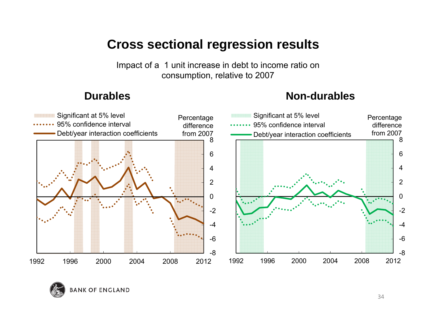#### **Cross sectional regression results**

Impact of a 1 unit increase in debt to income ratio on consumption, relative to 2007

#### **Durables Non-durables**



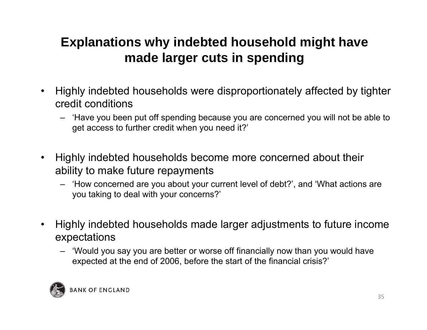#### **Explanations why indebted household might have made larger cuts in spending**

- $\bullet$  Highly indebted households were disproportionately affected by tighter credit conditions
	- 'Have you been put off spending because you are concerned you will not be able to get access to further credit when you need it?'
- $\bullet$  Highly indebted households become more concerned about their ability to make future repayments
	- 'How concerned are you about your current level of debt?', and 'What actions are you taking to deal with your concerns?'
- $\bullet$  Highly indebted households made larger adjustments to future income expectations
	- 'Would you say you are better or worse off financially now than you would have expected at the end of 2006, before the start of the financial crisis?'

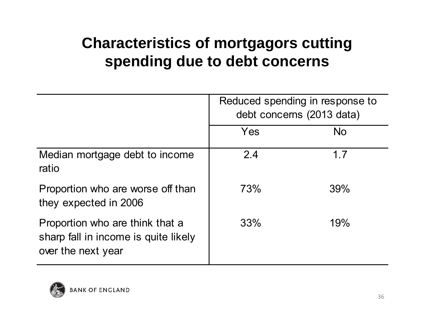# **Characteristics of mortgagors cutting spending due to debt concerns**

|                                                                                               | Reduced spending in response to<br>debt concerns (2013 data) |           |  |
|-----------------------------------------------------------------------------------------------|--------------------------------------------------------------|-----------|--|
|                                                                                               | Yes                                                          | <b>No</b> |  |
| Median mortgage debt to income<br>ratio                                                       | 2.4                                                          | 1.7       |  |
| Proportion who are worse off than<br>they expected in 2006                                    | <b>73%</b>                                                   | 39%       |  |
| Proportion who are think that a<br>sharp fall in income is quite likely<br>over the next year | 33%                                                          | 19%       |  |

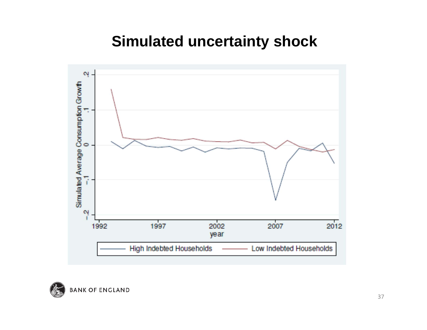#### **Simulated uncertainty shock**